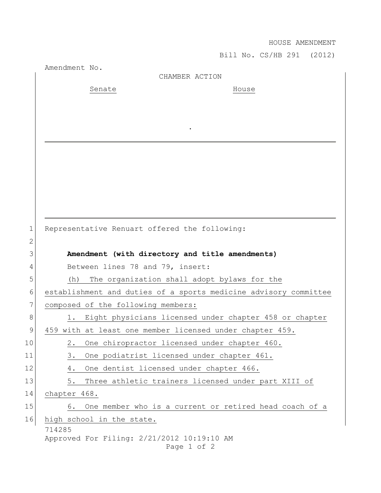## HOUSE AMENDMENT

Bill No. CS/HB 291 (2012)

|              | Amendment No.                              | CHAMBER ACTION                                                   |
|--------------|--------------------------------------------|------------------------------------------------------------------|
|              | Senate                                     | House                                                            |
|              |                                            |                                                                  |
|              |                                            |                                                                  |
|              |                                            |                                                                  |
|              |                                            |                                                                  |
|              |                                            |                                                                  |
|              |                                            |                                                                  |
|              |                                            |                                                                  |
|              |                                            |                                                                  |
|              |                                            |                                                                  |
|              |                                            |                                                                  |
| $\mathbf 1$  |                                            | Representative Renuart offered the following:                    |
| $\mathbf{2}$ |                                            |                                                                  |
| 3            |                                            | Amendment (with directory and title amendments)                  |
| 4            | Between lines 78 and 79, insert:           |                                                                  |
| 5            | (h)                                        | The organization shall adopt bylaws for the                      |
| 6            |                                            | establishment and duties of a sports medicine advisory committee |
| 7            | composed of the following members:         |                                                                  |
| 8            |                                            | 1. Eight physicians licensed under chapter 458 or chapter        |
| 9            |                                            | 459 with at least one member licensed under chapter 459.         |
| 10           | $2$ .                                      | One chiropractor licensed under chapter 460.                     |
| 11           | 3.                                         | One podiatrist licensed under chapter 461.                       |
| 12           | 4.                                         | One dentist licensed under chapter 466.                          |
| 13           | 5.                                         | Three athletic trainers licensed under part XIII of              |
| 14           | chapter 468.                               |                                                                  |
| 15           | 6.                                         | One member who is a current or retired head coach of a           |
| 16           | high school in the state.                  |                                                                  |
|              | 714285                                     |                                                                  |
|              | Approved For Filing: 2/21/2012 10:19:10 AM |                                                                  |
|              |                                            | Page 1 of 2                                                      |